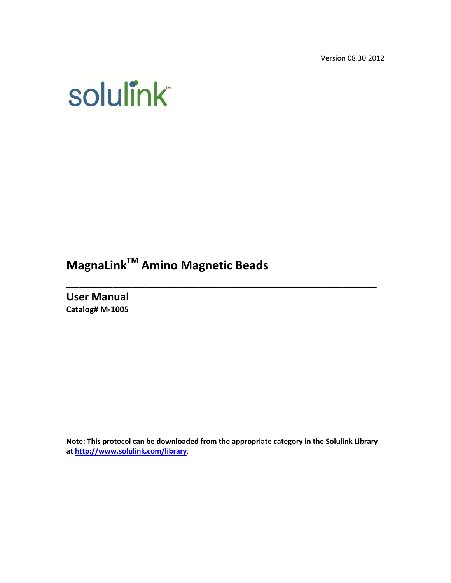Version 08.30.2012

# **solulink**

**MagnaLinkTM Amino Magnetic Beads**

**User Manual Catalog# M-1005**

**Note: This protocol can be downloaded from the appropriate category in the Solulink Library at <http://www.solulink.com/library>**.

**\_\_\_\_\_\_\_\_\_\_\_\_\_\_\_\_\_\_\_\_\_\_\_\_\_\_\_\_\_\_\_\_\_\_\_\_\_\_\_\_\_\_\_\_\_\_\_**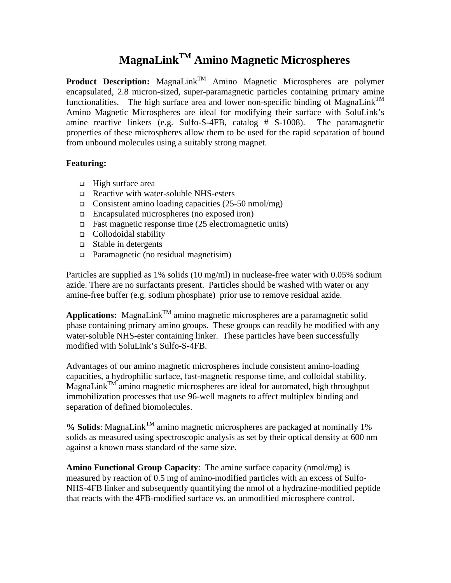## **MagnaLinkTM Amino Magnetic Microspheres**

**Product Description:** MagnaLink<sup>TM</sup> Amino Magnetic Microspheres are polymer encapsulated, 2.8 micron-sized, super-paramagnetic particles containing primary amine functionalities. The high surface area and lower non-specific binding of MagnaLink<sup>TM</sup> Amino Magnetic Microspheres are ideal for modifying their surface with SoluLink's amine reactive linkers (e.g. Sulfo-S-4FB, catalog # S-1008). The paramagnetic properties of these microspheres allow them to be used for the rapid separation of bound from unbound molecules using a suitably strong magnet.

#### **Featuring:**

- $\Box$  High surface area
- Reactive with water-soluble NHS-esters
- Consistent amino loading capacities  $(25-50 \text{ nmol/mg})$
- Encapsulated microspheres (no exposed iron)
- $\Box$  Fast magnetic response time (25 electromagnetic units)
- Collodoidal stability
- Stable in detergents
- Paramagnetic (no residual magnetisim)

Particles are supplied as 1% solids (10 mg/ml) in nuclease-free water with 0.05% sodium azide. There are no surfactants present. Particles should be washed with water or any amine-free buffer (e.g. sodium phosphate) prior use to remove residual azide.

**Applications:** MagnaLink<sup>TM</sup> amino magnetic microspheres are a paramagnetic solid phase containing primary amino groups. These groups can readily be modified with any water-soluble NHS-ester containing linker. These particles have been successfully modified with SoluLink's Sulfo-S-4FB.

Advantages of our amino magnetic microspheres include consistent amino-loading capacities, a hydrophilic surface, fast-magnetic response time, and colloidal stability. MagnaLink<sup>TM</sup> amino magnetic microspheres are ideal for automated, high throughput immobilization processes that use 96-well magnets to affect multiplex binding and separation of defined biomolecules.

 $%$  **Solids**: MagnaLink<sup>TM</sup> amino magnetic microspheres are packaged at nominally 1% solids as measured using spectroscopic analysis as set by their optical density at 600 nm against a known mass standard of the same size.

**Amino Functional Group Capacity**: The amine surface capacity (nmol/mg) is measured by reaction of 0.5 mg of amino-modified particles with an excess of Sulfo-NHS-4FB linker and subsequently quantifying the nmol of a hydrazine-modified peptide that reacts with the 4FB-modified surface vs. an unmodified microsphere control.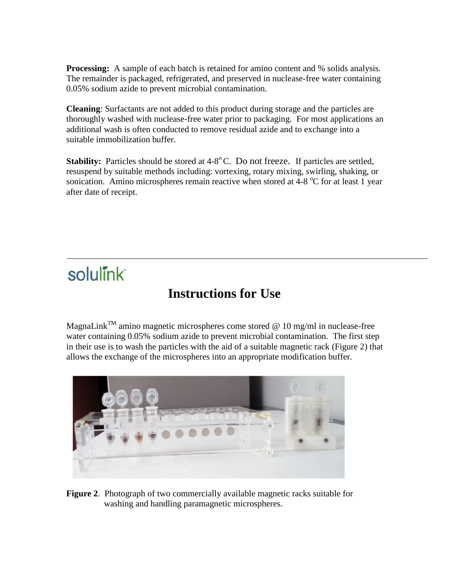**Processing:** A sample of each batch is retained for amino content and % solids analysis. The remainder is packaged, refrigerated, and preserved in nuclease-free water containing 0.05% sodium azide to prevent microbial contamination.

**Cleaning**: Surfactants are not added to this product during storage and the particles are thoroughly washed with nuclease-free water prior to packaging. For most applications an additional wash is often conducted to remove residual azide and to exchange into a suitable immobilization buffer.

**Stability:** Particles should be stored at 4-8<sup>o</sup>C. Do not freeze. If particles are settled, resuspend by suitable methods including: vortexing, rotary mixing, swirling, shaking, or sonication. Amino microspheres remain reactive when stored at  $4-8\degree$ C for at least 1 year after date of receipt.

# solulink

## **Instructions for Use**

MagnaLink<sup>TM</sup> amino magnetic microspheres come stored @ 10 mg/ml in nuclease-free water containing 0.05% sodium azide to prevent microbial contamination. The first step in their use is to wash the particles with the aid of a suitable magnetic rack (Figure 2) that allows the exchange of the microspheres into an appropriate modification buffer.



**Figure 2**. Photograph of two commercially available magnetic racks suitable for washing and handling paramagnetic microspheres.